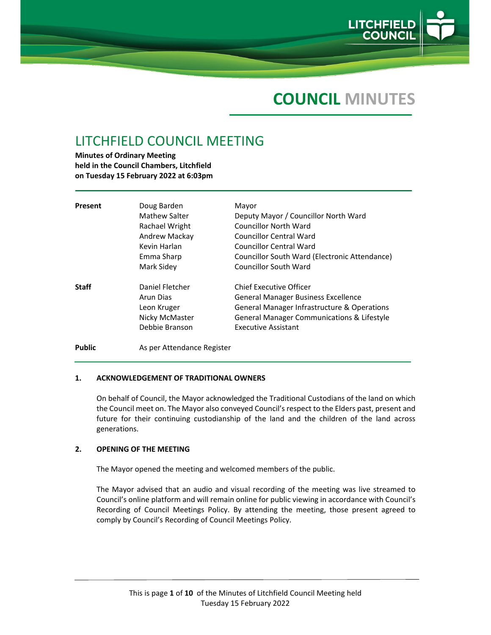

# **COUNCIL MINUTES**

## LITCHFIELD COUNCIL MEETING

**Minutes of Ordinary Meeting held in the Council Chambers, Litchfield on Tuesday 15 February 2022 at 6:03pm**

| Present       | Doug Barden<br>Mathew Salter<br>Rachael Wright<br>Andrew Mackay<br>Kevin Harlan<br>Emma Sharp<br>Mark Sidey | Mayor<br>Deputy Mayor / Councillor North Ward<br><b>Councillor North Ward</b><br><b>Councillor Central Ward</b><br>Councillor Central Ward<br>Councillor South Ward (Electronic Attendance)<br><b>Councillor South Ward</b> |
|---------------|-------------------------------------------------------------------------------------------------------------|-----------------------------------------------------------------------------------------------------------------------------------------------------------------------------------------------------------------------------|
| <b>Staff</b>  | Daniel Fletcher<br>Arun Dias<br>Leon Kruger<br>Nicky McMaster<br>Debbie Branson                             | Chief Executive Officer<br>General Manager Business Excellence<br>General Manager Infrastructure & Operations<br>General Manager Communications & Lifestyle<br><b>Executive Assistant</b>                                   |
| <b>Public</b> | As per Attendance Register                                                                                  |                                                                                                                                                                                                                             |

## **1. ACKNOWLEDGEMENT OF TRADITIONAL OWNERS**

On behalf of Council, the Mayor acknowledged the Traditional Custodians of the land on which the Council meet on. The Mayor also conveyed Council's respect to the Elders past, present and future for their continuing custodianship of the land and the children of the land across generations.

## **2. OPENING OF THE MEETING**

The Mayor opened the meeting and welcomed members of the public.

The Mayor advised that an audio and visual recording of the meeting was live streamed to Council's online platform and will remain online for public viewing in accordance with Council's Recording of Council Meetings Policy. By attending the meeting, those present agreed to comply by Council's Recording of Council Meetings Policy.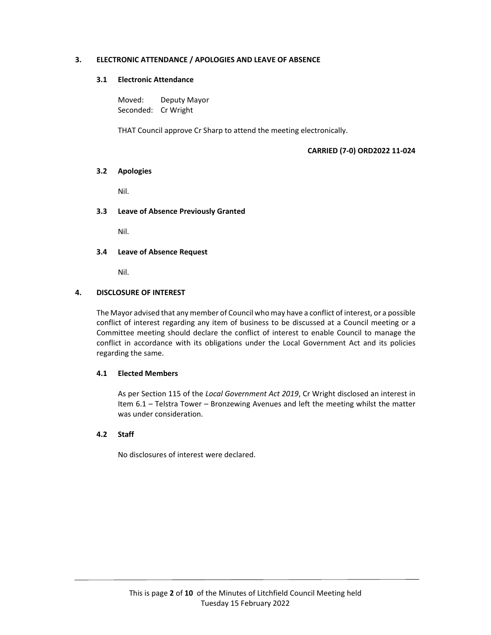## **3. ELECTRONIC ATTENDANCE / APOLOGIES AND LEAVE OF ABSENCE**

## **3.1 Electronic Attendance**

Moved: Deputy Mayor Seconded: Cr Wright

THAT Council approve Cr Sharp to attend the meeting electronically.

## **CARRIED (7‐0) ORD2022 11‐024**

#### **3.2 Apologies**

Nil.

## **3.3 Leave of Absence Previously Granted**

Nil.

#### **3.4 Leave of Absence Request**

Nil.

#### **4. DISCLOSURE OF INTEREST**

The Mayor advised that any member of Council who may have a conflict of interest, or a possible conflict of interest regarding any item of business to be discussed at a Council meeting or a Committee meeting should declare the conflict of interest to enable Council to manage the conflict in accordance with its obligations under the Local Government Act and its policies regarding the same.

## **4.1 Elected Members**

As per Section 115 of the *Local Government Act 2019*, Cr Wright disclosed an interest in Item 6.1 – Telstra Tower – Bronzewing Avenues and left the meeting whilst the matter was under consideration.

## **4.2 Staff**

No disclosures of interest were declared.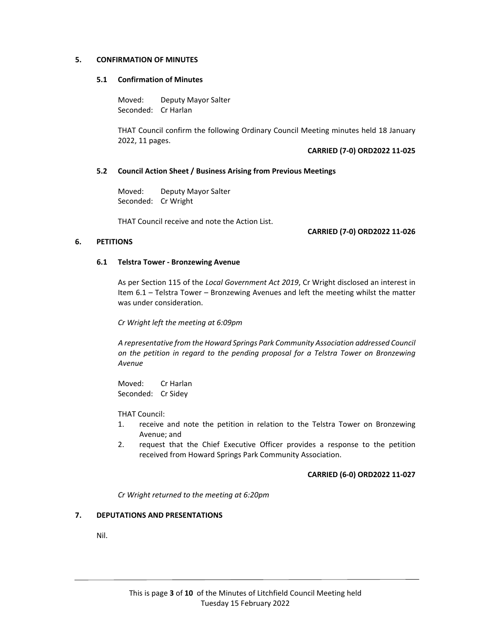### **5. CONFIRMATION OF MINUTES**

## **5.1 Confirmation of Minutes**

Moved: Deputy Mayor Salter Seconded: Cr Harlan

THAT Council confirm the following Ordinary Council Meeting minutes held 18 January 2022, 11 pages.

#### **CARRIED (7‐0) ORD2022 11‐025**

#### **5.2 Council Action Sheet / Business Arising from Previous Meetings**

Moved: Deputy Mayor Salter Seconded: Cr Wright

THAT Council receive and note the Action List.

## **CARRIED (7‐0) ORD2022 11‐026**

## **6. PETITIONS**

#### **6.1 Telstra Tower ‐ Bronzewing Avenue**

 As per Section 115 of the *Local Government Act 2019*, Cr Wright disclosed an interest in Item 6.1 – Telstra Tower – Bronzewing Avenues and left the meeting whilst the matter was under consideration.

*Cr Wright left the meeting at 6:09pm*

*A representative from the Howard Springs Park Community Association addressed Council on the petition in regard to the pending proposal for a Telstra Tower on Bronzewing Avenue*

Moved: Cr Harlan Seconded: Cr Sidey

THAT Council:

- 1. receive and note the petition in relation to the Telstra Tower on Bronzewing Avenue; and
- 2. request that the Chief Executive Officer provides a response to the petition received from Howard Springs Park Community Association.

## **CARRIED (6‐0) ORD2022 11‐027**

*Cr Wright returned to the meeting at 6:20pm*

## **7. DEPUTATIONS AND PRESENTATIONS**

Nil.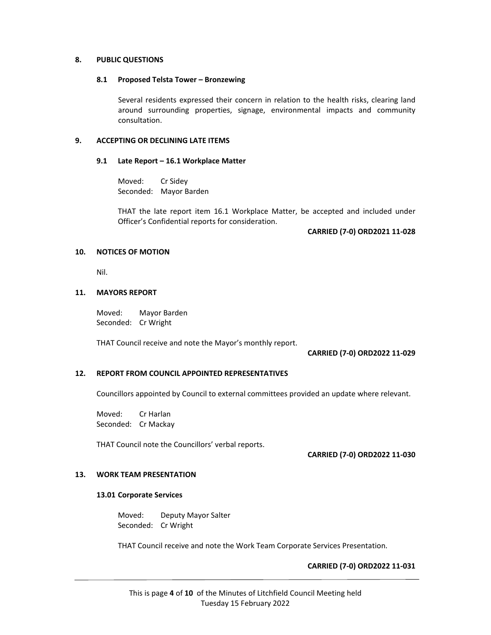#### **8. PUBLIC QUESTIONS**

#### **8.1 Proposed Telsta Tower – Bronzewing**

Several residents expressed their concern in relation to the health risks, clearing land around surrounding properties, signage, environmental impacts and community consultation.

## **9. ACCEPTING OR DECLINING LATE ITEMS**

#### **9.1 Late Report – 16.1 Workplace Matter**

Moved: Cr Sidey Seconded: Mayor Barden

THAT the late report item 16.1 Workplace Matter, be accepted and included under Officer's Confidential reports for consideration.

## **CARRIED (7‐0) ORD2021 11‐028**

#### **10. NOTICES OF MOTION**

Nil.

#### **11. MAYORS REPORT**

Moved: Mayor Barden Seconded: Cr Wright

THAT Council receive and note the Mayor's monthly report.

#### **CARRIED (7‐0) ORD2022 11‐029**

## **12. REPORT FROM COUNCIL APPOINTED REPRESENTATIVES**

Councillors appointed by Council to external committees provided an update where relevant.

Moved: Cr Harlan Seconded: Cr Mackay

THAT Council note the Councillors' verbal reports.

**CARRIED (7‐0) ORD2022 11‐030**

## **13. WORK TEAM PRESENTATION**

## **13.01 Corporate Services**

Moved: Deputy Mayor Salter Seconded: Cr Wright

THAT Council receive and note the Work Team Corporate Services Presentation.

## **CARRIED (7‐0) ORD2022 11‐031**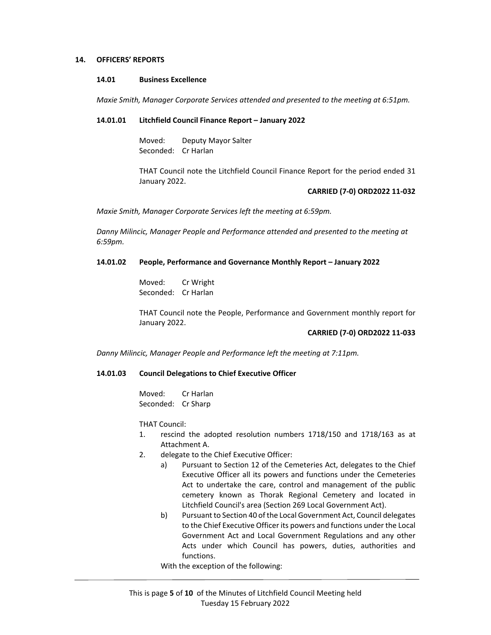#### **14. OFFICERS' REPORTS**

#### **14.01 Business Excellence**

*Maxie Smith, Manager Corporate Services attended and presented to the meeting at 6:51pm.*

#### **14.01.01 Litchfield Council Finance Report – January 2022**

Moved: Deputy Mayor Salter Seconded: Cr Harlan

THAT Council note the Litchfield Council Finance Report for the period ended 31 January 2022.

#### **CARRIED (7‐0) ORD2022 11‐032**

*Maxie Smith, Manager Corporate Services left the meeting at 6:59pm.*

*Danny Milincic, Manager People and Performance attended and presented to the meeting at 6:59pm.*

#### **14.01.02 People, Performance and Governance Monthly Report – January 2022**

Moved: Cr Wright Seconded: Cr Harlan

THAT Council note the People, Performance and Government monthly report for January 2022.

#### **CARRIED (7‐0) ORD2022 11‐033**

*Danny Milincic, Manager People and Performance left the meeting at 7:11pm.*

## **14.01.03 Council Delegations to Chief Executive Officer**

Moved: Cr Harlan Seconded: Cr Sharp

THAT Council:

- 1. rescind the adopted resolution numbers 1718/150 and 1718/163 as at Attachment A.
- 2. delegate to the Chief Executive Officer:
	- a) Pursuant to Section 12 of the Cemeteries Act, delegates to the Chief Executive Officer all its powers and functions under the Cemeteries Act to undertake the care, control and management of the public cemetery known as Thorak Regional Cemetery and located in Litchfield Council's area (Section 269 Local Government Act).
	- b) Pursuant to Section 40 of the Local Government Act, Council delegates to the Chief Executive Officer its powers and functions under the Local Government Act and Local Government Regulations and any other Acts under which Council has powers, duties, authorities and functions.

With the exception of the following: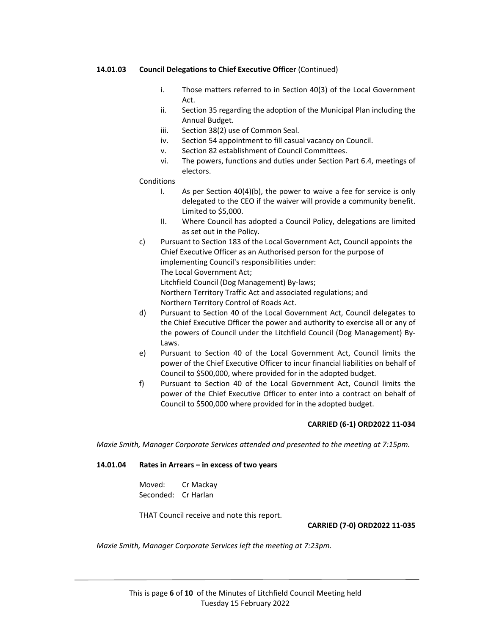## **14.01.03 Council Delegations to Chief Executive Officer** (Continued)

- i. Those matters referred to in Section 40(3) of the Local Government Act.
- ii. Section 35 regarding the adoption of the Municipal Plan including the Annual Budget.
- iii. Section 38(2) use of Common Seal.
- iv. Section 54 appointment to fill casual vacancy on Council.
- v. Section 82 establishment of Council Committees.
- vi. The powers, functions and duties under Section Part 6.4, meetings of electors.

#### **Conditions**

- I. As per Section 40(4)(b), the power to waive a fee for service is only delegated to the CEO if the waiver will provide a community benefit. Limited to \$5,000.
- II. Where Council has adopted a Council Policy, delegations are limited as set out in the Policy.
- c) Pursuant to Section 183 of the Local Government Act, Council appoints the Chief Executive Officer as an Authorised person for the purpose of implementing Council's responsibilities under: The Local Government Act; Litchfield Council (Dog Management) By‐laws; Northern Territory Traffic Act and associated regulations; and Northern Territory Control of Roads Act.
- d) Pursuant to Section 40 of the Local Government Act, Council delegates to the Chief Executive Officer the power and authority to exercise all or any of the powers of Council under the Litchfield Council (Dog Management) By‐ Laws.
- e) Pursuant to Section 40 of the Local Government Act, Council limits the power of the Chief Executive Officer to incur financial liabilities on behalf of Council to \$500,000, where provided for in the adopted budget.
- f) Pursuant to Section 40 of the Local Government Act, Council limits the power of the Chief Executive Officer to enter into a contract on behalf of Council to \$500,000 where provided for in the adopted budget.

## **CARRIED (6‐1) ORD2022 11‐034**

*Maxie Smith, Manager Corporate Services attended and presented to the meeting at 7:15pm.*

### **14.01.04 Rates in Arrears – in excess of two years**

Moved: Cr Mackay Seconded: Cr Harlan

THAT Council receive and note this report.

### **CARRIED (7‐0) ORD2022 11‐035**

*Maxie Smith, Manager Corporate Services left the meeting at 7:23pm.*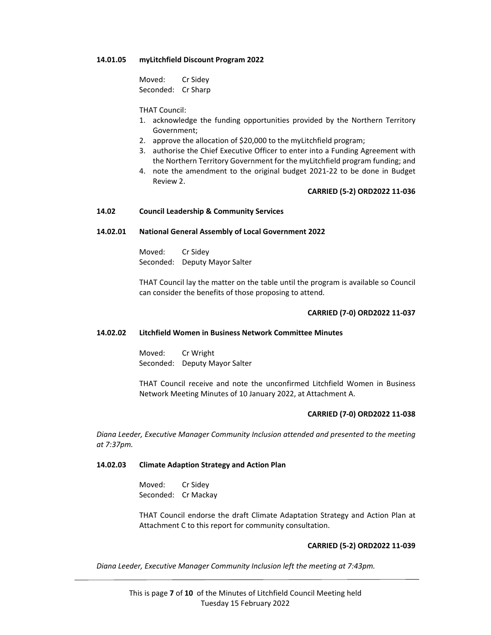#### **14.01.05 myLitchfield Discount Program 2022**

Moved: Cr Sidey Seconded: Cr Sharp

THAT Council:

- 1. acknowledge the funding opportunities provided by the Northern Territory Government;
- 2. approve the allocation of \$20,000 to the myLitchfield program;
- 3. authorise the Chief Executive Officer to enter into a Funding Agreement with the Northern Territory Government for the myLitchfield program funding; and
- 4. note the amendment to the original budget 2021‐22 to be done in Budget Review 2.

#### **CARRIED (5‐2) ORD2022 11‐036**

### **14.02 Council Leadership & Community Services**

#### **14.02.01 National General Assembly of Local Government 2022**

Moved: Cr Sidey Seconded: Deputy Mayor Salter

THAT Council lay the matter on the table until the program is available so Council can consider the benefits of those proposing to attend.

#### **CARRIED (7‐0) ORD2022 11‐037**

#### **14.02.02 Litchfield Women in Business Network Committee Minutes**

Moved: Cr Wright Seconded: Deputy Mayor Salter

THAT Council receive and note the unconfirmed Litchfield Women in Business Network Meeting Minutes of 10 January 2022, at Attachment A.

## **CARRIED (7‐0) ORD2022 11‐038**

*Diana Leeder, Executive Manager Community Inclusion attended and presented to the meeting at 7:37pm.*

## **14.02.03 Climate Adaption Strategy and Action Plan**

Moved: Cr Sidey Seconded: Cr Mackay

THAT Council endorse the draft Climate Adaptation Strategy and Action Plan at Attachment C to this report for community consultation.

#### **CARRIED (5‐2) ORD2022 11‐039**

*Diana Leeder, Executive Manager Community Inclusion left the meeting at 7:43pm.*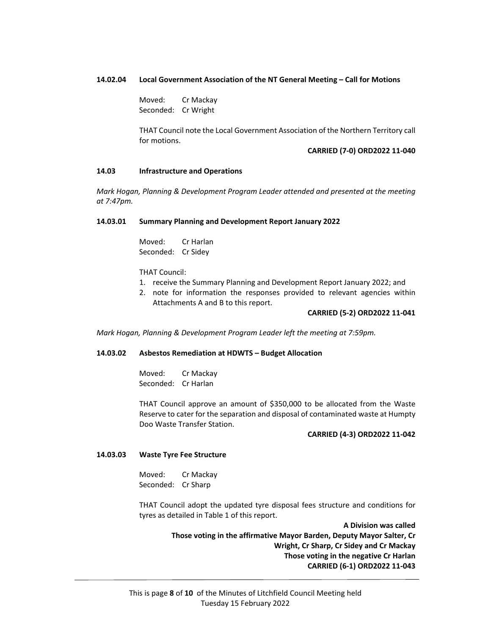#### **14.02.04 Local Government Association of the NT General Meeting – Call for Motions**

Moved: Cr Mackay Seconded: Cr Wright

THAT Council note the Local Government Association of the Northern Territory call for motions.

#### **CARRIED (7‐0) ORD2022 11‐040**

#### **14.03 Infrastructure and Operations**

*Mark Hogan, Planning & Development Program Leader attended and presented at the meeting at 7:47pm.*

#### **14.03.01 Summary Planning and Development Report January 2022**

Moved: Cr Harlan Seconded: Cr Sidey

THAT Council:

- 1. receive the Summary Planning and Development Report January 2022; and
- 2. note for information the responses provided to relevant agencies within Attachments A and B to this report.

#### **CARRIED (5‐2) ORD2022 11‐041**

*Mark Hogan, Planning & Development Program Leader left the meeting at 7:59pm.*

#### **14.03.02 Asbestos Remediation at HDWTS – Budget Allocation**

Moved: Cr Mackay Seconded: Cr Harlan

THAT Council approve an amount of \$350,000 to be allocated from the Waste Reserve to cater for the separation and disposal of contaminated waste at Humpty Doo Waste Transfer Station.

#### **CARRIED (4‐3) ORD2022 11‐042**

## **14.03.03 Waste Tyre Fee Structure**

Moved: Cr Mackay Seconded: Cr Sharp

THAT Council adopt the updated tyre disposal fees structure and conditions for tyres as detailed in Table 1 of this report.

> **A Division was called Those voting in the affirmative Mayor Barden, Deputy Mayor Salter, Cr Wright, Cr Sharp, Cr Sidey and Cr Mackay Those voting in the negative Cr Harlan CARRIED (6‐1) ORD2022 11‐043**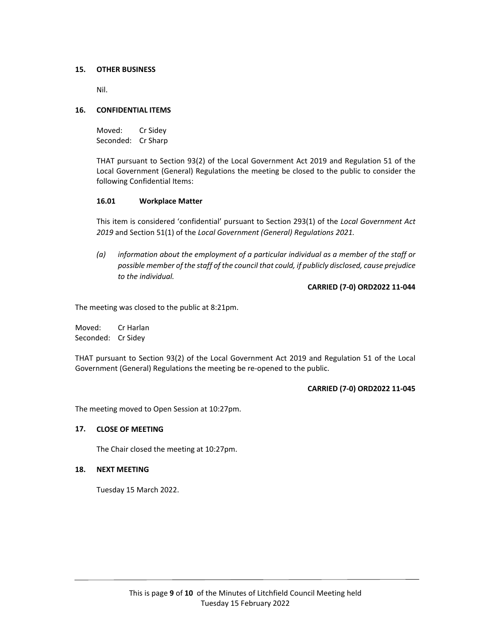## **15. OTHER BUSINESS**

Nil.

### **16. CONFIDENTIAL ITEMS**

Moved: Cr Sidey Seconded: Cr Sharp

THAT pursuant to Section 93(2) of the Local Government Act 2019 and Regulation 51 of the Local Government (General) Regulations the meeting be closed to the public to consider the following Confidential Items:

#### **16.01 Workplace Matter**

This item is considered 'confidential' pursuant to Section 293(1) of the *Local Government Act 2019* and Section 51(1) of the *Local Government (General) Regulations 2021.*

*(a) information about the employment of a particular individual as a member of the staff or possible member of the staff of the council that could, if publicly disclosed, cause prejudice to the individual.*

**CARRIED (7‐0) ORD2022 11‐044**

The meeting was closed to the public at 8:21pm.

Moved: Cr Harlan Seconded: Cr Sidey

THAT pursuant to Section 93(2) of the Local Government Act 2019 and Regulation 51 of the Local Government (General) Regulations the meeting be re‐opened to the public.

#### **CARRIED (7‐0) ORD2022 11‐045**

The meeting moved to Open Session at 10:27pm.

## **17. CLOSE OF MEETING**

The Chair closed the meeting at 10:27pm.

#### **18. NEXT MEETING**

Tuesday 15 March 2022.